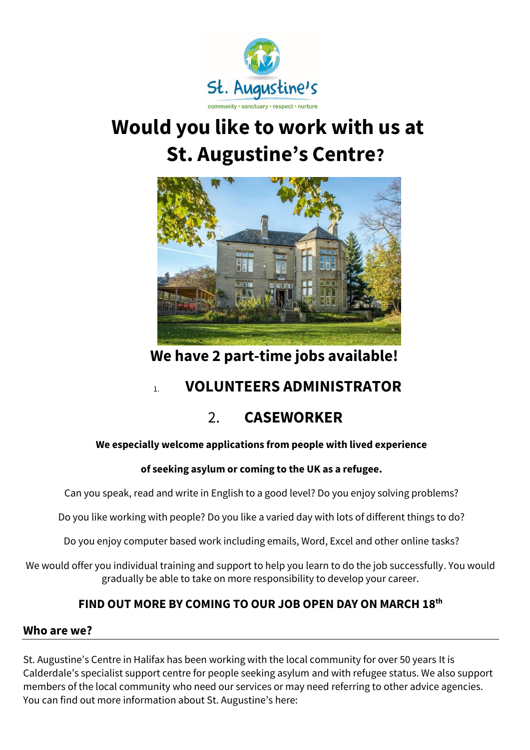

# **Would you like to work with us at St. Augustine's Centre?**



 **We have 2 part-time jobs available!**

## 1. **VOLUNTEERS ADMINISTRATOR**

# 2. **CASEWORKER**

## **We especially welcome applications from people with lived experience**

## **of seeking asylum or coming to the UK as a refugee.**

Can you speak, read and write in English to a good level? Do you enjoy solving problems?

Do you like working with people? Do you like a varied day with lots of different things to do?

Do you enjoy computer based work including emails, Word, Excel and other online tasks?

We would offer you individual training and support to help you learn to do the job successfully. You would gradually be able to take on more responsibility to develop your career.

## **FIND OUT MORE BY COMING TO OUR JOB OPEN DAY ON MARCH 18th**

## **Who are we?**

St. Augustine's Centre in Halifax has been working with the local community for over 50 years It is Calderdale's specialist support centre for people seeking asylum and with refugee status. We also support members of the local community who need our services or may need referring to other advice agencies. You can find out more information about St. Augustine's here: